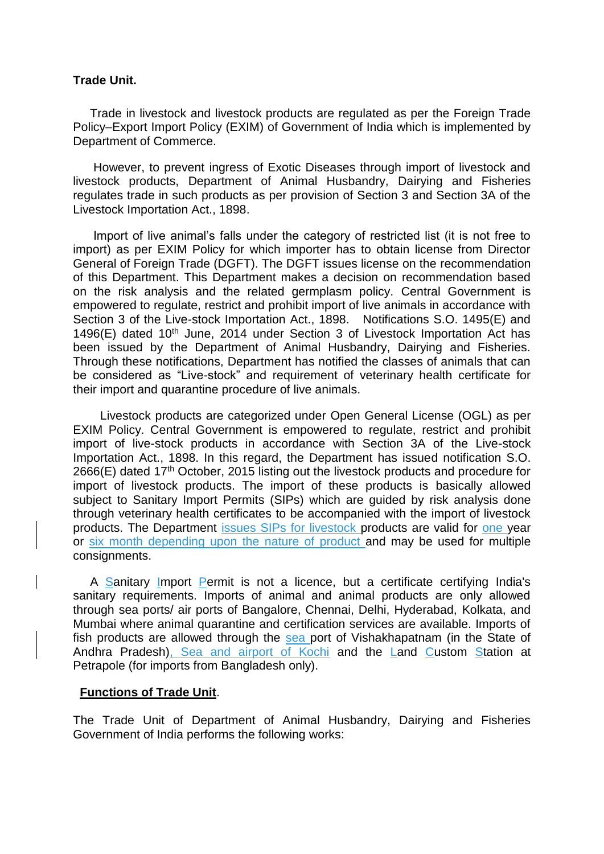## **Trade Unit.**

 Trade in livestock and livestock products are regulated as per the Foreign Trade Policy–Export Import Policy (EXIM) of Government of India which is implemented by Department of Commerce.

 However, to prevent ingress of Exotic Diseases through import of livestock and livestock products, Department of Animal Husbandry, Dairying and Fisheries regulates trade in such products as per provision of Section 3 and Section 3A of the Livestock Importation Act., 1898.

 Import of live animal's falls under the category of restricted list (it is not free to import) as per EXIM Policy for which importer has to obtain license from Director General of Foreign Trade (DGFT). The DGFT issues license on the recommendation of this Department. This Department makes a decision on recommendation based on the risk analysis and the related germplasm policy. Central Government is empowered to regulate, restrict and prohibit import of live animals in accordance with Section 3 of the Live-stock Importation Act., 1898. Notifications S.O. 1495(E) and 1496(E) dated 10<sup>th</sup> June, 2014 under Section 3 of Livestock Importation Act has been issued by the Department of Animal Husbandry, Dairying and Fisheries. Through these notifications, Department has notified the classes of animals that can be considered as "Live-stock" and requirement of veterinary health certificate for their import and quarantine procedure of live animals.

 Livestock products are categorized under Open General License (OGL) as per EXIM Policy. Central Government is empowered to regulate, restrict and prohibit import of live-stock products in accordance with Section 3A of the Live-stock Importation Act., 1898. In this regard, the Department has issued notification S.O. 2666(E) dated 17<sup>th</sup> October, 2015 listing out the livestock products and procedure for import of livestock products. The import of these products is basically allowed subject to Sanitary Import Permits (SIPs) which are guided by risk analysis done through veterinary health certificates to be accompanied with the import of livestock products. The Department issues SIPs for livestock products are valid for one year or six month depending upon the nature of product and may be used for multiple consignments.

 A Sanitary Import Permit is not a licence, but a certificate certifying India's sanitary requirements. Imports of animal and animal products are only allowed through sea ports/ air ports of Bangalore, Chennai, Delhi, Hyderabad, Kolkata, and Mumbai where animal quarantine and certification services are available. Imports of fish products are allowed through the sea port of Vishakhapatnam (in the State of Andhra Pradesh), Sea and airport of Kochi and the Land Custom Station at Petrapole (for imports from Bangladesh only).

## **Functions of Trade Unit**.

The Trade Unit of Department of Animal Husbandry, Dairying and Fisheries Government of India performs the following works: